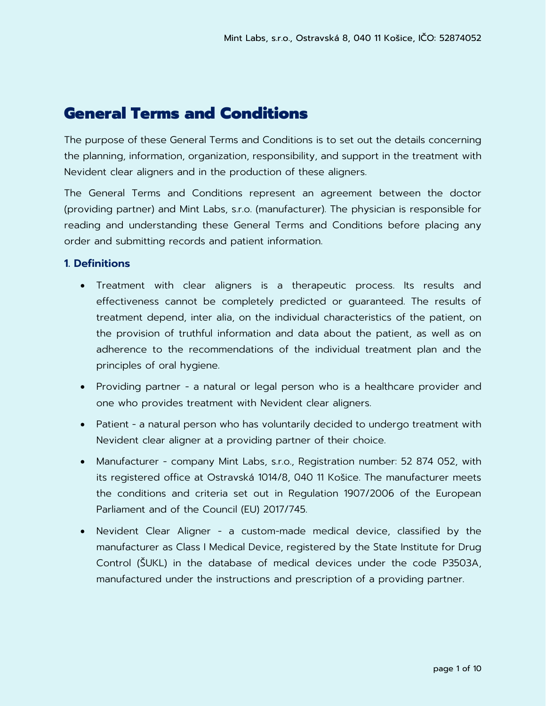# General Terms and Conditions

The purpose of these General Terms and Conditions is to set out the details concerning the planning, information, organization, responsibility, and support in the treatment with Nevident clear aligners and in the production of these aligners.

The General Terms and Conditions represent an agreement between the doctor (providing partner) and Mint Labs, s.r.o. (manufacturer). The physician is responsible for reading and understanding these General Terms and Conditions before placing any order and submitting records and patient information.

#### **1. Definitions**

- Treatment with clear aligners is a therapeutic process. Its results and effectiveness cannot be completely predicted or guaranteed. The results of treatment depend, inter alia, on the individual characteristics of the patient, on the provision of truthful information and data about the patient, as well as on adherence to the recommendations of the individual treatment plan and the principles of oral hygiene.
- Providing partner a natural or legal person who is a healthcare provider and one who provides treatment with Nevident clear aligners.
- Patient a natural person who has voluntarily decided to undergo treatment with Nevident clear aligner at a providing partner of their choice.
- Manufacturer company Mint Labs, s.r.o., Registration number: 52 874 052, with its registered office at Ostravská 1014/8, 040 11 Košice. The manufacturer meets the conditions and criteria set out in Regulation 1907/2006 of the European Parliament and of the Council (EU) 2017/745.
- Nevident Clear Aligner a custom-made medical device, classified by the manufacturer as Class I Medical Device, registered by the State Institute for Drug Control (ŠUKL) in the database of medical devices under the code P3503A, manufactured under the instructions and prescription of a providing partner.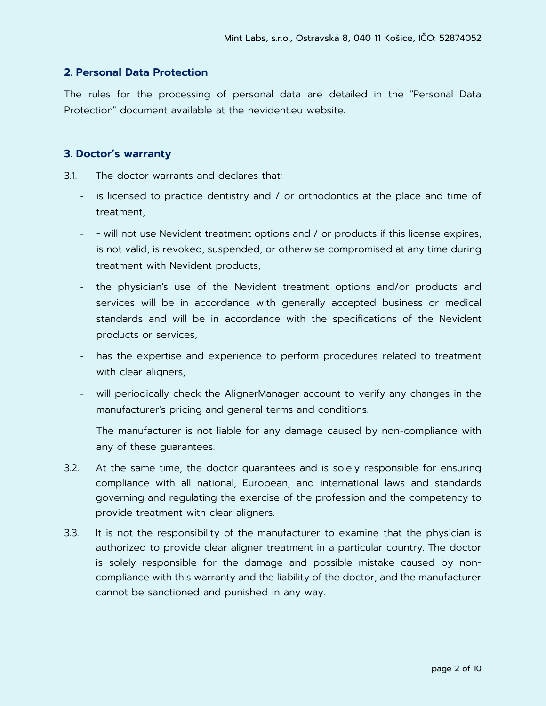# **2. Personal Data Protection**

The rules for the processing of personal data are detailed in the "Personal Data Protection" document available at the nevident.eu website.

### **3. Doctor's warranty**

3.1. The doctor warrants and declares that:

- is licensed to practice dentistry and / or orthodontics at the place and time of treatment,
- will not use Nevident treatment options and / or products if this license expires, is not valid, is revoked, suspended, or otherwise compromised at any time during treatment with Nevident products,
- the physician's use of the Nevident treatment options and/or products and services will be in accordance with generally accepted business or medical standards and will be in accordance with the specifications of the Nevident products or services,
- has the expertise and experience to perform procedures related to treatment with clear aligners,
- will periodically check the AlignerManager account to verify any changes in the manufacturer's pricing and general terms and conditions.

The manufacturer is not liable for any damage caused by non-compliance with any of these guarantees.

- 3.2. At the same time, the doctor guarantees and is solely responsible for ensuring compliance with all national, European, and international laws and standards governing and regulating the exercise of the profession and the competency to provide treatment with clear aligners.
- 3.3. It is not the responsibility of the manufacturer to examine that the physician is authorized to provide clear aligner treatment in a particular country. The doctor is solely responsible for the damage and possible mistake caused by noncompliance with this warranty and the liability of the doctor, and the manufacturer cannot be sanctioned and punished in any way.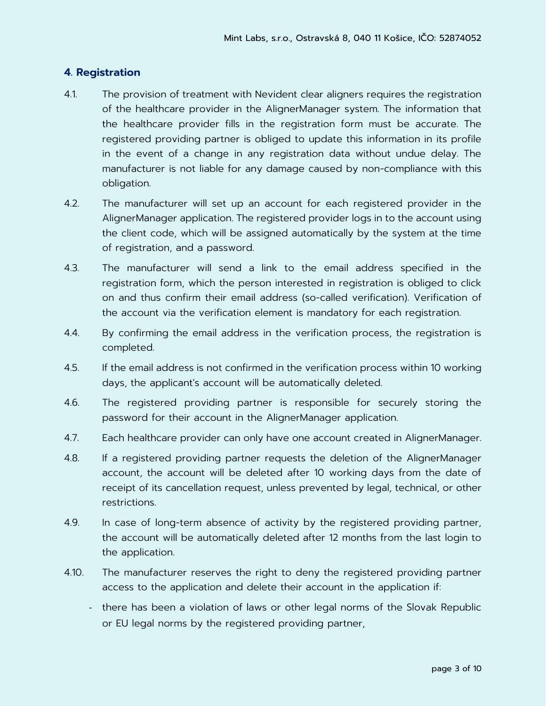# **4. Registration**

- 4.1. The provision of treatment with Nevident clear aligners requires the registration of the healthcare provider in the AlignerManager system. The information that the healthcare provider fills in the registration form must be accurate. The registered providing partner is obliged to update this information in its profile in the event of a change in any registration data without undue delay. The manufacturer is not liable for any damage caused by non-compliance with this obligation.
- 4.2. The manufacturer will set up an account for each registered provider in the AlignerManager application. The registered provider logs in to the account using the client code, which will be assigned automatically by the system at the time of registration, and a password.
- 4.3. The manufacturer will send a link to the email address specified in the registration form, which the person interested in registration is obliged to click on and thus confirm their email address (so-called verification). Verification of the account via the verification element is mandatory for each registration.
- 4.4. By confirming the email address in the verification process, the registration is completed.
- 4.5. If the email address is not confirmed in the verification process within 10 working days, the applicant's account will be automatically deleted.
- 4.6. The registered providing partner is responsible for securely storing the password for their account in the AlignerManager application.
- 4.7. Each healthcare provider can only have one account created in AlignerManager.
- 4.8. If a registered providing partner requests the deletion of the AlignerManager account, the account will be deleted after 10 working days from the date of receipt of its cancellation request, unless prevented by legal, technical, or other restrictions.
- 4.9. In case of long-term absence of activity by the registered providing partner, the account will be automatically deleted after 12 months from the last login to the application.
- 4.10. The manufacturer reserves the right to deny the registered providing partner access to the application and delete their account in the application if:
	- there has been a violation of laws or other legal norms of the Slovak Republic or EU legal norms by the registered providing partner,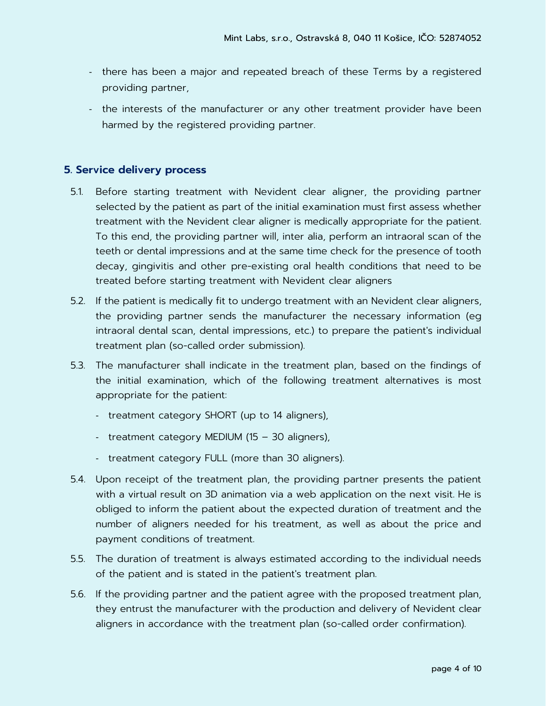- there has been a major and repeated breach of these Terms by a registered providing partner,
- the interests of the manufacturer or any other treatment provider have been harmed by the registered providing partner.

# **5. Service delivery process**

- 5.1. Before starting treatment with Nevident clear aligner, the providing partner selected by the patient as part of the initial examination must first assess whether treatment with the Nevident clear aligner is medically appropriate for the patient. To this end, the providing partner will, inter alia, perform an intraoral scan of the teeth or dental impressions and at the same time check for the presence of tooth decay, gingivitis and other pre-existing oral health conditions that need to be treated before starting treatment with Nevident clear aligners
- 5.2. If the patient is medically fit to undergo treatment with an Nevident clear aligners, the providing partner sends the manufacturer the necessary information (eg intraoral dental scan, dental impressions, etc.) to prepare the patient's individual treatment plan (so-called order submission).
- 5.3. The manufacturer shall indicate in the treatment plan, based on the findings of the initial examination, which of the following treatment alternatives is most appropriate for the patient:
	- treatment category SHORT (up to 14 aligners),
	- treatment category MEDIUM (15 30 aligners),
	- treatment category FULL (more than 30 aligners).
- 5.4. Upon receipt of the treatment plan, the providing partner presents the patient with a virtual result on 3D animation via a web application on the next visit. He is obliged to inform the patient about the expected duration of treatment and the number of aligners needed for his treatment, as well as about the price and payment conditions of treatment.
- 5.5. The duration of treatment is always estimated according to the individual needs of the patient and is stated in the patient's treatment plan.
- 5.6. If the providing partner and the patient agree with the proposed treatment plan, they entrust the manufacturer with the production and delivery of Nevident clear aligners in accordance with the treatment plan (so-called order confirmation).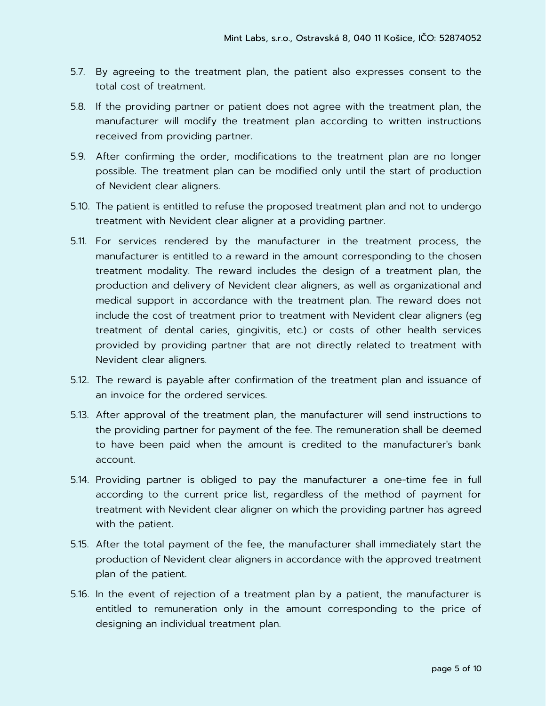- 5.7. By agreeing to the treatment plan, the patient also expresses consent to the total cost of treatment.
- 5.8. If the providing partner or patient does not agree with the treatment plan, the manufacturer will modify the treatment plan according to written instructions received from providing partner.
- 5.9. After confirming the order, modifications to the treatment plan are no longer possible. The treatment plan can be modified only until the start of production of Nevident clear aligners.
- 5.10. The patient is entitled to refuse the proposed treatment plan and not to undergo treatment with Nevident clear aligner at a providing partner.
- 5.11. For services rendered by the manufacturer in the treatment process, the manufacturer is entitled to a reward in the amount corresponding to the chosen treatment modality. The reward includes the design of a treatment plan, the production and delivery of Nevident clear aligners, as well as organizational and medical support in accordance with the treatment plan. The reward does not include the cost of treatment prior to treatment with Nevident clear aligners (eg treatment of dental caries, gingivitis, etc.) or costs of other health services provided by providing partner that are not directly related to treatment with Nevident clear aligners.
- 5.12. The reward is payable after confirmation of the treatment plan and issuance of an invoice for the ordered services.
- 5.13. After approval of the treatment plan, the manufacturer will send instructions to the providing partner for payment of the fee. The remuneration shall be deemed to have been paid when the amount is credited to the manufacturer's bank account.
- 5.14. Providing partner is obliged to pay the manufacturer a one-time fee in full according to the current price list, regardless of the method of payment for treatment with Nevident clear aligner on which the providing partner has agreed with the patient.
- 5.15. After the total payment of the fee, the manufacturer shall immediately start the production of Nevident clear aligners in accordance with the approved treatment plan of the patient.
- 5.16. In the event of rejection of a treatment plan by a patient, the manufacturer is entitled to remuneration only in the amount corresponding to the price of designing an individual treatment plan.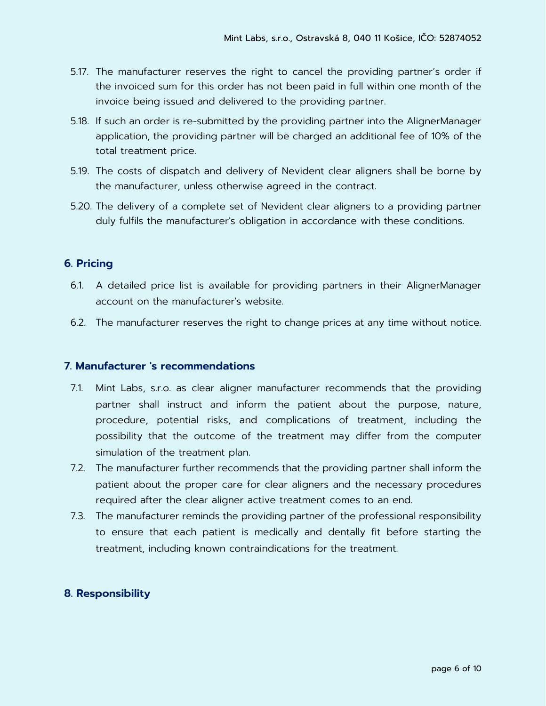- 5.17. The manufacturer reserves the right to cancel the providing partner's order if the invoiced sum for this order has not been paid in full within one month of the invoice being issued and delivered to the providing partner.
- 5.18. If such an order is re-submitted by the providing partner into the AlignerManager application, the providing partner will be charged an additional fee of 10% of the total treatment price.
- 5.19. The costs of dispatch and delivery of Nevident clear aligners shall be borne by the manufacturer, unless otherwise agreed in the contract.
- 5.20. The delivery of a complete set of Nevident clear aligners to a providing partner duly fulfils the manufacturer's obligation in accordance with these conditions.

# **6. Pricing**

- 6.1. A detailed price list is available for providing partners in their AlignerManager account on the manufacturer's website.
- 6.2. The manufacturer reserves the right to change prices at any time without notice.

#### **7. Manufacturer 's recommendations**

- 7.1. Mint Labs, s.r.o. as clear aligner manufacturer recommends that the providing partner shall instruct and inform the patient about the purpose, nature, procedure, potential risks, and complications of treatment, including the possibility that the outcome of the treatment may differ from the computer simulation of the treatment plan.
- 7.2. The manufacturer further recommends that the providing partner shall inform the patient about the proper care for clear aligners and the necessary procedures required after the clear aligner active treatment comes to an end.
- 7.3. The manufacturer reminds the providing partner of the professional responsibility to ensure that each patient is medically and dentally fit before starting the treatment, including known contraindications for the treatment.

# **8. Responsibility**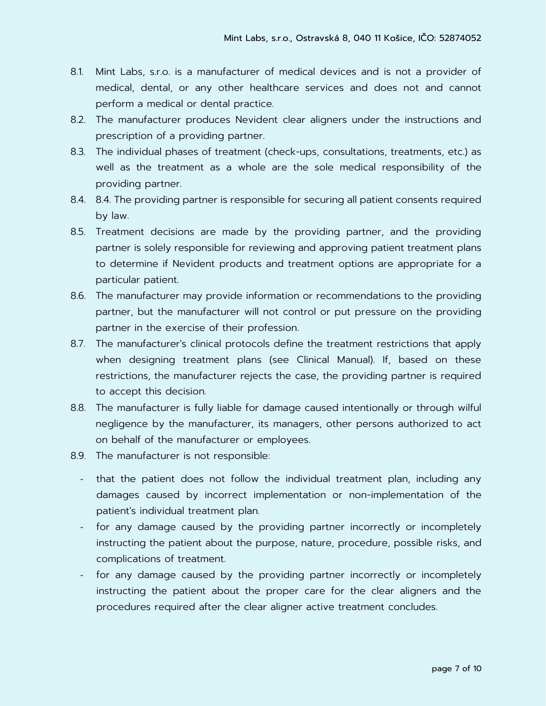- 8.1. Mint Labs, s.r.o. is a manufacturer of medical devices and is not a provider of medical, dental, or any other healthcare services and does not and cannot perform a medical or dental practice.
- 8.2. The manufacturer produces Nevident clear aligners under the instructions and prescription of a providing partner.
- 8.3. The individual phases of treatment (check-ups, consultations, treatments, etc.) as well as the treatment as a whole are the sole medical responsibility of the providing partner.
- 8.4. 8.4. The providing partner is responsible for securing all patient consents required by law.
- 8.5. Treatment decisions are made by the providing partner, and the providing partner is solely responsible for reviewing and approving patient treatment plans to determine if Nevident products and treatment options are appropriate for a particular patient.
- 8.6. The manufacturer may provide information or recommendations to the providing partner, but the manufacturer will not control or put pressure on the providing partner in the exercise of their profession.
- 8.7. The manufacturer's clinical protocols define the treatment restrictions that apply when designing treatment plans (see Clinical Manual). If, based on these restrictions, the manufacturer rejects the case, the providing partner is required to accept this decision.
- 8.8. The manufacturer is fully liable for damage caused intentionally or through wilful negligence by the manufacturer, its managers, other persons authorized to act on behalf of the manufacturer or employees.
- 8.9. The manufacturer is not responsible:
	- that the patient does not follow the individual treatment plan, including any damages caused by incorrect implementation or non-implementation of the patient's individual treatment plan.
	- for any damage caused by the providing partner incorrectly or incompletely instructing the patient about the purpose, nature, procedure, possible risks, and complications of treatment.
	- for any damage caused by the providing partner incorrectly or incompletely instructing the patient about the proper care for the clear aligners and the procedures required after the clear aligner active treatment concludes.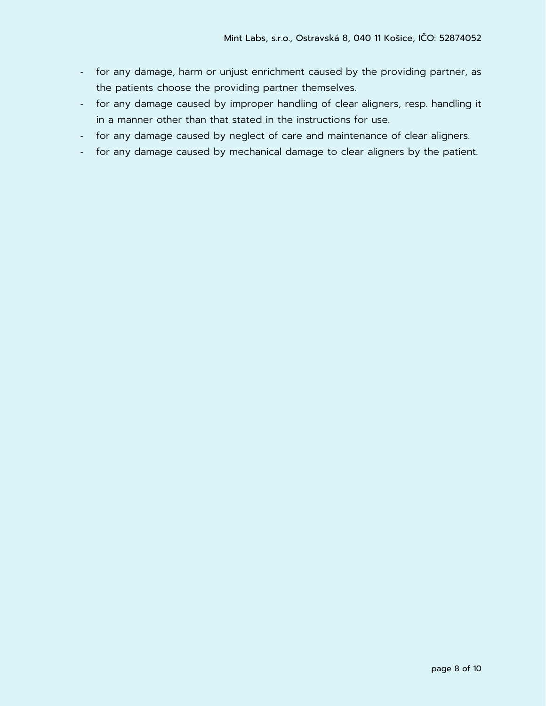- for any damage, harm or unjust enrichment caused by the providing partner, as the patients choose the providing partner themselves.
- for any damage caused by improper handling of clear aligners, resp. handling it in a manner other than that stated in the instructions for use.
- for any damage caused by neglect of care and maintenance of clear aligners.
- for any damage caused by mechanical damage to clear aligners by the patient.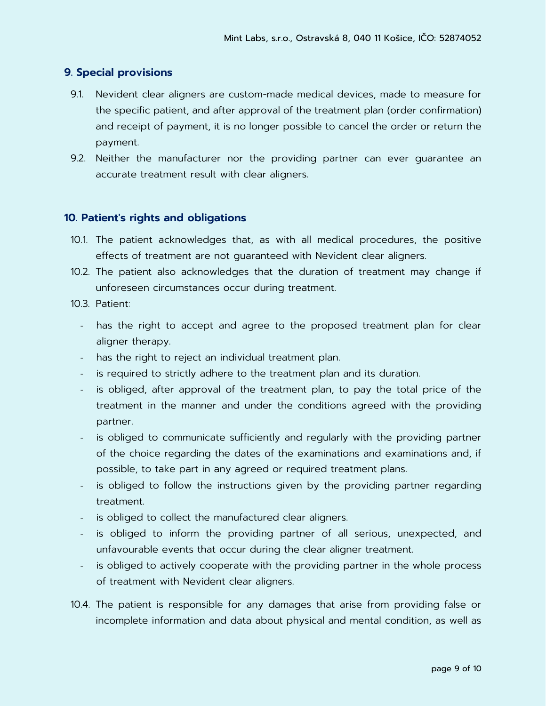# **9. Special provisions**

- 9.1. Nevident clear aligners are custom-made medical devices, made to measure for the specific patient, and after approval of the treatment plan (order confirmation) and receipt of payment, it is no longer possible to cancel the order or return the payment.
- 9.2. Neither the manufacturer nor the providing partner can ever guarantee an accurate treatment result with clear aligners.

#### **10. Patient's rights and obligations**

- 10.1. The patient acknowledges that, as with all medical procedures, the positive effects of treatment are not guaranteed with Nevident clear aligners.
- 10.2. The patient also acknowledges that the duration of treatment may change if unforeseen circumstances occur during treatment.
- 10.3. Patient:
	- has the right to accept and agree to the proposed treatment plan for clear aligner therapy.
	- has the right to reject an individual treatment plan.
	- is required to strictly adhere to the treatment plan and its duration.
	- is obliged, after approval of the treatment plan, to pay the total price of the treatment in the manner and under the conditions agreed with the providing partner.
	- is obliged to communicate sufficiently and regularly with the providing partner of the choice regarding the dates of the examinations and examinations and, if possible, to take part in any agreed or required treatment plans.
	- is obliged to follow the instructions given by the providing partner regarding treatment.
	- is obliged to collect the manufactured clear aligners.
	- is obliged to inform the providing partner of all serious, unexpected, and unfavourable events that occur during the clear aligner treatment.
	- is obliged to actively cooperate with the providing partner in the whole process of treatment with Nevident clear aligners.
- 10.4. The patient is responsible for any damages that arise from providing false or incomplete information and data about physical and mental condition, as well as